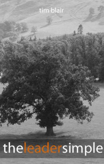

# theleadersimple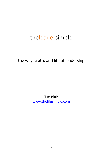# theleadersimple

the way, truth, and life of leadership

Tim Blair [www.thelifesimple.com](http://www.thelifesimple.com/)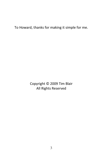To Howard, thanks for making it simple for me.

Copyright © 2009 Tim Blair All Rights Reserved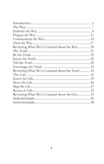| Reviewing What We've Learned about the Way 20    |  |
|--------------------------------------------------|--|
|                                                  |  |
|                                                  |  |
|                                                  |  |
|                                                  |  |
|                                                  |  |
| Reviewing What We've Learned about the Truth  35 |  |
|                                                  |  |
|                                                  |  |
|                                                  |  |
|                                                  |  |
|                                                  |  |
| Reviewing What We've Learned about the Life 55   |  |
|                                                  |  |
|                                                  |  |
|                                                  |  |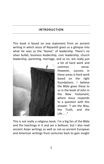#### <span id="page-4-0"></span>**INTRODUCTION**

This book is based on one statement from an ancient writing in which Jesus of Nazareth gives us a glimpse into what He sees as the "bones" of leadership. There's no silver bullet; business leadership, civic leadership, church leadership, parenting, marriage, and so on, are really just



a lot of hard work and common sense. However, success in these areas is hard work based on the right foundations. I believe the Bible gives these to us in the book of John in the New Testament, where Jesus responds to a question with this answer: "I am the Way, the Truth, and the Life . . ."

This is not really a religious book. I'm a big fan of the Bible and the teachings in it and am a believer, but I also read ancient Asian writings as well as not-so-ancient European and American writings from centuries back to gain insight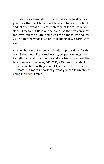into life today through history. I'd like you to drop your guard for the short time it will take you to read this book, and let's see what this simple statement looks like in your skin. I'll try to put flesh on the bones so that we can show the way, tell the truth, and give life to those who follow us—no matter what position of leadership we carry with us.

A little about me: I've been in leadership positions for the past 3 decades. From real estate/property management to national retail, non-profits and start-ups, I've held the titles, general manager, VP, CFO, COO and president. I hope I can share with you what I've learned over the last 30 years, but more importantly what you can learn about being theleadersimple.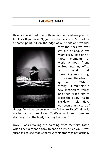#### **THEWAYSIM PLE**

<span id="page-6-0"></span>Have you ever had one of those moments where you just felt lost? If you haven't, you're extremely rare. Most of us, at some point, sit on the edge of our beds and wonder



why the heck we ever got out of bed. A few years back, I had one of those moments at work. A good friend walked into my office and could tell something was wrong, so he asked the obvious question: "What's wrong?" I mumbled a few incoherent things and then asked him to close the door. As he sat down, I said, "Have you seen that picture of

George Washington crossing the Delaware River?" He told me he had, so I went on: "That's what I need, someone standing up in the boat, pointing the way."

Now, I was recalling the painting from memory. Later, when I actually got a copy to hang on my office wall, I was surprised to see that General Washington was not actually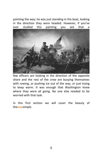pointing the way; he was just standing in the boat, looking in the direction they were headed. However, if you've ever studied this painting you see that a



few officers are looking in the direction of the opposite shore and the rest of the crew are busying themselves with rowing, or pushing ice out of the way, or just trying to keep warm. It was enough that Washington knew where they were all going. No one else needed to be worried with that task.

In this first section we will cover the beauty of thewaysimple.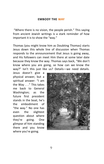#### **EMBODY THE WAY**

<span id="page-8-0"></span>"Where there is no vision, the people perish." This saying from ancient Jewish writings is a stark reminder of how important it is to show the "way."

Thomas (you might know him as Doubting Thomas) starts Jesus down this whole line of discussion when Thomas responds to the announcement that Jesus is going away, and His followers can meet Him there at some later date because they know the way. Thomas says back, "We don't know where you are going, so how can we know the way?" Isn't this just like us? Details—we need details.

Jesus doesn't give a physical answer, but a spiritual answer: "I am the Way . . ." This takes me back to General Washington; as the future first president stands in the boat, he's the embodiment of "the way." No one has even the slightest question about where they're going. One glimpse of him standing there and you know where you're going.

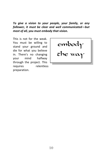*To give a vision to your people, your family, or any follower, it must be clear and well communicated—but most of all, you must embody that vision.*

This is not for the weak. You must be willing to stand your ground and die for what you believe in. There's no changing your mind halfway through the project. This requires relentless preparation.

embody the way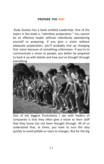#### **PREPARE THE WAY**

<span id="page-10-0"></span>Rudy Giuliani has a book entitled *Leadership*. One of the topics in this book is "relentless preparation." You cannot be an effective leader without relentlessly abandoning yourself to preparing. If you give a vision without adequate preparation, you'll probably end up changing that vision because of something unforeseen. If you're to communicate a vision to people, you better be prepared to back it up with details and how you've thought through everything.



One of the biggest frustrations I see with leaders of companies is that they often give a vision to their staff that they know has not been thought through. All of us understand that, at times, you have to turn the ship quickly to avoid pitfalls or react to changes. But for the big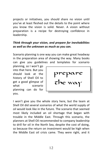projects or initiatives, you should share no vision until you've at least fleshed out the details to the point where you know the vision is solid. Never. A vision without preparation is a recipe for destroying confidence in leadership.

# *Think through your vision, and prepare for inevitabilities as well as the unknown as much as you can.*

Scenario planning is one way you can make great headway in the preparation area of showing the way. Many books can give you guidelines and templates for scenario

planning, so I won't go into that here. But you should look at the history of Shell Oil to get a good glimpse of what scenario planning can do for you.



I won't give you the whole story here, but the team at Shell Oil did several scenarios of what the world supply of oil would look like in the future. The scenario that seemed most likely included an oil shortage that began with trouble in the Middle East. Through this scenario, the planners at Shell Oil recommended to company leadership to drill for oil in the North Sea, despite the cost of doing, so because the return on investment would be high when the Middle East oil crisis came. They were right, and it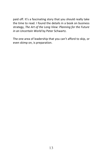paid off. It's a fascinating story that you should really take the time to read. I found the details in a book on business strategy, *The Art of the Long View: Planning for the Future in an Uncertain World* by Peter Schwartz.

The one area of leadership that you can't afford to skip, or even skimp on, is preparation.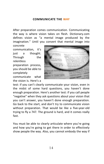# **COMMUNICATE THE WAY**

<span id="page-13-0"></span>After preparation comes communication. Communicating the way is where vision takes on flesh. Dictionary.com defines vision as "a mental image produced by the imagination." Until you convert that mental image into concrete

communication, it's just a thought. Through the relentless

preparation process, you should be able to completely

communicate what the vision is. Here's a



test: if you can't clearly communicate your vision, even in the midst of some hard questions, you haven't done enough preparation. Here's another test: if you call people "negative" when they ask questions about your vision that you can't answer, you haven't done enough preparation. Go back to the start, and don't try to communicate vision without preparation. That would be like a five-year-old trying to fly a 747. The ground is hard, and it comes really fast.

You must be able to clearly articulate where you're going and how you're going to get there in order to effectively show people the way. Also, you cannot embody the way if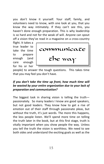you don't know it yourself. Your staff, family, and volunteers need to know, with one look at you, that you know the way intimately. If they can't see this, you haven't done enough preparation. This is why leadership is so hard and not for the weak of will. Anyone can spout off a vision they've read in a magazine on a cross-country

flight. It takes a true leader to take the time to prepare enough (and care enough for his or her



people) to answer the tough questions. This takes time that you may feel you don't have.

# *If you don't take the time up front, how much time will be wasted by your entire organization due to your lack of preparation and communication?*

The biggest task in sharing vision is telling the truth passionately. So many leaders I know are good speakers, but not good leaders. They know how to get a rise of emotion out of their staff through passionate pleas, but without the truth, it's just words. The more this happens, the less people listen. We'll spend more time on telling the truth later in the book, but at this first stage, truth is vitally important when you show people the way. Unless you tell the truth the vision is worthless. We need to see both sides and understand the exciting goals as well as the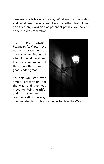dangerous pitfalls along the way. What are the downsides, and what are the upsides? Here's another test: if you don't see any downside or potential pitfalls, you haven't done enough preparation.

Truth and passion. *Veritas et fervidus*. I love putting phrases up on my wall to remind me of what I should be doing. It's the combination of these two that makes a good leader, great.

So, first you start with ample preparation for the way, and then you move to being truthful and passionate in communicating the way.



The final step to this first section is to Clear the Way.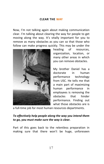#### **CLEAR THE WAY**

<span id="page-16-0"></span>Now, I'm not talking again about making communication clear. I'm talking about clearing the way for people to get moving along the way. It's vitally important for you to remove as many obstacles as you can so that those who follow can make progress quickly. This may be under the



heading of resources, organization, location, or many other areas in which you can remove obstacles.

My brother Daniel has a doctorate in human performance technology from USC. He tells me that a main part of maximizing human performance in employees is removing the obstacles that hinder performance. Finding out what those obstacles are is

a full-time job for most human resources departments.

# *To effectively help people along the way you intend them to go, you must make sure the way is clear.*

Part of this goes back to the relentless preparation in making sure that there won't be huge, unforeseen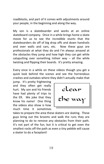roadblocks, and part of it comes with adjustments around your people, in the beginning and along the way.

My son is a skateboarder and works at an online skateboard company. Once in a while brings home a skate movie for us to see the incredible stunts that the skateboarders do off of big drop offs and down handrails and over walls and cars, etc. Now these guys are professionals at what they do and I'm always amazed at the obstacles they jump and how high they can get while catapulting over something intheir way  $-$  all the while twisting and flipping their boards. It's pretty amazing.

Every once in a while on these videos though you get a quick look behind the scenes and see the horrendous crashes and outtakes where they didn't actually make that

jump. It's pretty frightening and they often get really hurt. My son and his friends have had plenty of trips to the ER. We joke that they know his name! One thing the videos also show is how much time it sometimes

clear the way

takes to prepare the area these skaters are skating. These guys bring out the brooms and walk the runs they are planning to do to remove any obstacles from their path. It's not part of the fun, but it is critical to get even the smallest rocks off the path as even a tiny pebble will cause a skater to do a faceplant!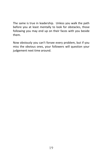The same is true in leadership. Unless you walk the path before you at least mentally to look for obstacles, those following you may end up on their faces with you beside them.

Now obviously you can't forsee every problem, but if you miss the obvious ones, your followers will question your judgement next time around.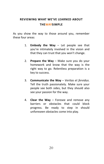# <span id="page-19-0"></span>**REVIEWING WHAT WE'VE LEARNED ABOUT THEWAYSIMPLE**

As you show the way to those around you, remember these four areas:

- 1. **Embody the Way** Let people see that you're intimately involved in the vision and that they can trust that you won't change.
- 2. **Prepare the Way** Make sure you do your homework and know that the way is the right way to go. Relentless preparation is a key to success.
- 3. **Communicate the Way** *Veritas et fervidus*. Tell the truth passionately. Make sure your people see both sides, but they should also see your passion for the way.
- 4. **Clear the Way** Foresee and remove any barriers or obstacles that could block progress. Be ready to step in should unforeseen obstacles come into play.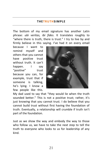#### **THETRUTHSIM PLE**

<span id="page-20-0"></span>The bottom of my email signature has another Latin phrase: *ubi veritas, ibi fides*. It translates roughly to "where there is truth, there is trust." I try to live by and firmly believe in this saying. I've had it on every email

because I want to remind myself and others that you cannot have positive trust without truth. It can't happen. I say "positive" trust because you can, for example, trust that if someone is talking, he's lying. I know a few people like this.



My dad used to say that "they would lie when the truth sounded better." This is not a positive trust; rather, it's just knowing that you cannot trust. I do believe that you cannot build trust without first having the foundation of truth. Eventually, a relationship will crumble if truth isn't part of the foundation.

Just as we show the way and embody the way to those who follow us, we have to take the next step to tell the truth to everyone who looks to us for leadership of any kind.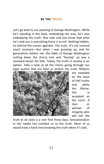#### **BE THE TRUTH**

<span id="page-21-0"></span>Let's go back to our painting of George Washington. While he's standing in the boat, embodying the way, he's also embodying the truth. One look and you know that what he's told you is everything there is to tell. Nothing hidden, no behind-the-scenes agendas. The truth. It's not revered much anymore—but when I was growing up, and for generations before me, the fable of George Washington cutting down the cherry tree and "fessing" up was a standard lesson for kids. Today, the truth in society is an option. Take a look at all the claims going through our legal system that are false or stretch the truth. Millions



are awarded on the basis of half truths and white lies. Worse, this is accepted as the norm. A man or woman of integrity who will tell the

truth at all costs is a rare find these days. Sensationalism in the media has numbed us to the truth. Most of us would have a hard time knowing the truth when it's told.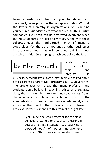Being a leader with truth as your foundation isn't necessarily even prized in the workplace today. With all the layers of hierarchy in organizations, you can find yourself in a quandary as to what the real truth is. Entire companies like Enron can be destroyed overnight when the house of cards (or lies) finally folds. Along with these collapses goes the hard-earned money of many a stockholder. Yet, there are thousands of other businesses in the same boat that will continue building these unstable entities, just hoping to cash out before the fall.

 $be$  the truth

Lately there's been a call for ethics and integrity in

business. A recent *Wall Street Journal* article talked about ethics classes as part of MBA programs in U.S. universities. The article goes on to say that many professors and students don't believe in teaching ethics as a separate class, that it should be integrated into every class. Some characterize ethics classes as a bone thrown to the administration. Professors feel they can adequately cover ethics as they teach other subjects. One professor of Ethics at Harvard responds to this train of thought later:

> Lynn Paine, the lead professor for the class, believes a stand-alone course is essential because "ethics discussion too easily gets crowded out" of other management courses. "The integration model sounds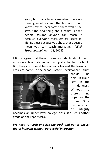good, but many faculty members have no training in ethics and the law and don't know how to incorporate them well," she says. "The odd thing about ethics is that people assume anyone can teach it because everyone faces ethical issues in life. But just because you shop, that doesn't mean you can teach marketing. (*Wall Street Journal,* April 12, 2005)

I firmly agree that these business students should learn ethics in a class of its own and not just a chapter in a book. But, they also should have already learned the lessons of ethics at home, in the school system, everywhere—truth



should be held up like a light in the darkness. Without it. there's no hope for the future. Once truth or ethics or integrity

becomes an upper-level college class, it's just another grade on the report card.

*We need to teach and live the truth and not to expect that it happens without purposeful instruction*.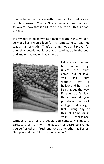This includes instruction within our families, but also in our businesses. You can't assume anymore that your followers know that it's OK to tell the truth. This is a sad, but true,

It's my goal to be known as a man of truth in this world of so many lies. I would love for my tombstone to read "He was a man of truth." That's also my hope and prayer for you, that people would see you standing up in the boat and know that you embody the truth.



Let me caution you here about one thing: unless the truth comes out of love, you'll fail. Truth without love is hollow and harsh. As I said about the way, if you don't love those around you, put down this book and get that straight first. Trying any of this, at home or in your workplace,

without a love for the people you contact will make a caricature of truth with no passion or desire to change yourself or others. Truth and love go together, as Forrest Gump would say, "like peas and carrots."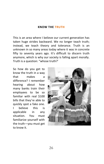#### **KNOW THE TRUTH**

<span id="page-25-0"></span>This is an area where I believe our current generation has taken huge strides backward. We no longer teach truth; instead, we teach theory and tolerance. Truth is an unknown in so many areas today where it was in concrete fifty to seventy years ago. It's difficult to discern truth anymore, which is why our society is falling apart morally. Truth is a question: "whose truth?'

So how do you get to know the truth in a way that makes a difference? I remember hearing about how many banks train their employees to be so familiar with real \$100 bills that they're able to quickly spot a fake one. I believe this is applicable in any situation. You must familiarize yourself with the truth—you must get to know it.

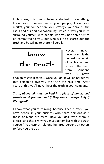In business, this means being a student of everything. Know your numbers know your people, know your market, your competition, your strategy, your brand—the list is endless and overwhelming, which is why you must surround yourself with people who you not only trust to be committed to you, but who will also search out the truth and be willing to share it liberally.



Never, never, never commit the unpardonable sin of a leader and squelch the truth from someone who is brave

enough to give it to you. Once you do, it will be harder for that person to give you the truth the next time. After years of this, you'll never hear the truth in your company.

# *Truth, above all, must be held in a place of honor, and people must feel honored if they share it—especially if it's difficult.*

I know what you're thinking, because I see it often: you have people in your business who share opinions as if those opinions are truth. How you deal with them is critical, and this is why you must be familiar with the truth yourself. You cannot rely one hundred percent on others to feed you the truth.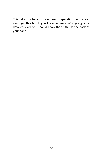This takes us back to relentless preparation before you even get this far. If you know where you're going, at a detailed level, you should know the truth like the back of your hand.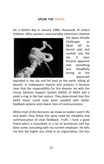#### **SPEAK THE TRUTH**

<span id="page-28-0"></span>On a fateful day in January 1986, thousands of school children, office workers, and everyday Americans cheered



the Space Shuttle Challenger as lifted off its launch pad and vaulted into the sky. It soon became apparent that something was dreadfully wrong as the spacecraft

exploded in the sky and fell back to the earth, killing all aboard. In subsequent reports and analysis, it became clear that the responsibility for this disaster lay with the Group Decision Support System (GDSS) of NASA and a small o-ring in the fuel system. They determined that this awful event could have been avoided with better feedback systems and clearer lines of communication.

While most of the decisions we make as leaders aren't life and death, they follow the same need for reliability and communication of clear feedback. Truth. I have a good friend who's a consultant to a lot of businesses and has done some consulting with my current employer. He tells me that the higher you climb in an organization, the less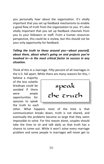you personally hear about the organization. It's vitally important that you set up feedback mechanisms to enable a good flow of truth from the organization to you. It's also vitally important that you set up feedback channels from you to your followers or staff. From a human resources perspective, this could be a review, but this should not be your only opportunity for feedback.

# *Telling the truth to those around you—about yourself, about them, about what's going on and projects you're involved in—is the most critical factor to success in any situation.*

Think of this in a marriage. Fifty percent of all marriages in the U.S. fall apart. While there are many reasons for this, I

believe a majority of the less volatile breakups could be avoided if there were ample opportunities for spouses to speak the truth to each

speak the truth

other. What happens most of the time is that communication breaks down, truth is not shared, and eventually the problems become so large that they seem impossible to solve. For this reason alone, couples should take the time to sit and talk daily so that truth has a chance to come out. While it won't solve every marriage problem and some people in marriages will never get to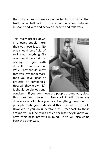the truth, at least there's an opportunity. It's critical that truth is a hallmark of the communication between husband and wife and between leaders and followers.

This really breaks down into loving people more than you love ideas. No one should be afraid of telling you anything. No one should be afraid of coming to you with difficult information. Why? They should know that you love them more than you love ideas or projects or companies. How will they know this? It should be obvious and



consistent. If you don't love the people around you, close this book and move on. None of it will make any difference at all unless you love. Everything hangs on this principle. Until you understand this, the rest is just talk. However, if you do understand this, feedback to those around you will be much easier because they'll know you have their best interests in mind. Truth will also come back the other way.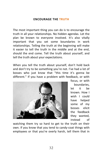# **ENCOURAGE THE TRUTH**

<span id="page-31-0"></span>The most important thing you can do is to encourage the truth in all your relationships. No hidden agendas. Let the plan be known to everyone involved. It's also vitally important that you set some boundaries in work relationships. Telling the truth at the beginning will make it easier to tell the truth in the middle and at the end, should the end come. Tell the truth about yourself, and tell the truth about your expectations.

When you tell the truth about yourself, don't hold back and don't try to be something you're not. I've had a lot of bosses who just know that "this time it's gonna be different." If you have a problem with feedback, or with



focus, or with boundaries, let it be known. How I wish I could have helped some of my bosses elicit the feedback they wanted, instead of

watching them try so hard to get to the truth on their own. If you know that you tend to candy-coat things with employees or that you're overly harsh, tell them that in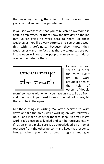the beginning. Letting them find out over two or three years is cruel and unusual punishment.

If you see weaknesses that you think can be overcome in certain employees, let them know the first day on the job that you're going to work hard to shore up those weaknesses. You'll be very surprised to see them accept this with gratefulness, because they know their weaknesses—and the fact that those weaknesses are out in the open will keep the people from trying to hide or overcompensate for them.

encourage the truth

As soon as you see an issue, tell the truth. Don't try to work around it or enlist the help of others to "double

team" someone with whom you have an issue. Be up front and open, and if you need to enlist the help of others, let that also be in the open.

Get these things in writing. We often hesitate to write down and file the areas we're working on with followers. Do it—and make a copy for them to keep. An email might work if it's electronically filed and can be retrieved easily. If it's an email, make sure it's acknowledged by an email response from the other person—and keep that response handy. When you talk through progress and give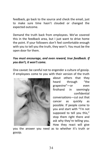feedback, go back to the source and check the email, just to make sure time hasn't clouded or changed the expected outcome.

Demand the truth back from employees. We've covered this in the feedback area, but I just want to drive home the point. If your followers don't feel comfortable enough with you to tell you the truth, they won't. You must be the open door for them.

# *You must encourage, and even reward, true feedback. If you don't, it won't come.*

One caveat: be careful not to engender a culture of gossip. If employees come to you with their version of the truth



about others that they heard through "the grapevine"—or even firsthand in seemingly confidential conversations—cut out that cancer as quickly as possible. If people come to you and start with "I'm not supposed to tell you this," stop them right there and ask why they're telling you. How they react will give

you the answer you need as to whether it's truth or gossip.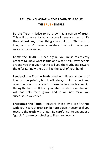# <span id="page-34-0"></span>**REVIEWING WHAT WE'VE LEARNED ABOUT THETRUTHSIMPLE**

**Be the Truth** – Strive to be known as a person of truth. This will do more for your success in every aspect of life than almost any other thing you could do. Tie truth to love, and you'll have a mixture that will make you successful as a leader.

**Know the Truth** – Once again, you must relentlessly prepare to know what is true and what isn't. Draw people around you that you trust to tell you the truth, and reward them for it. Know the truth like the back of your hand.

**Feedback the Truth –** Truth laced with liberal amounts of love can be painful, but it will always build respect and open the door to success for those under your leadership. Hiding the hard stuff from your staff, students, or children will not help them grow—and it will not make you successful as a leader.

**Encourage the Truth –** Reward those who are truthful with you. Years of trust can be torn down in seconds if you react to the truth with anger. Be careful not to engender a "gossip" culture by refusing to listen to hearsay.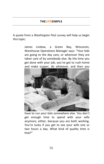## **THELIFESIMPLE**

<span id="page-35-0"></span>A quote from a *Washington Post* survey will help us begin this topic:

> James Lindow, a Green Bay, Wisconsin, Warehouse Operations Manager says: "Your kids are going to the day care, or wherever they are taken care of by somebody else. By the time you get done with your job, you've got to rush home and make supper, do whatever, and then you



have to run your kids somewhere else. You don't get enough time to spend with your wife anymore, either, because you are both working. You're lucky if you get to see your wife one or two hours a day. What kind of quality time is that?"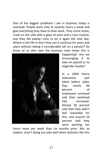One of the biggest problems I see in business today is overload. People work sixty to seventy hours a week and give everything they have to their work. They come home, crash on the sofa with a glass of wine and a Lean Cuisine, and they fall asleep—only to do it again the next day. Where is the life in this? How can it continue for years and years without taking a considerable toll on a person? Do those of us who own the business even know this is



happening? Are we encouraging it to save on payroll or to engender loyalty?

In a 2004 Harris Interactive poll taken before Labor Day, nearly 66 percent of employees surveyed said their workload had increased. Almost 50 percent said that they didn't feel rewarded for this, and around 10 percent said they were working ten

hours more per week than six months prior. We, as leaders, aren't doing our jobs well when statistics like this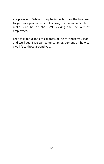are prevalent. While it may be important for the business to get more productivity out of less, it's the leader's job to make sure he or she isn't sucking the life out of employees.

Let's talk about the critical areas of life for those you lead, and we'll see if we can come to an agreement on how to give life to those around you.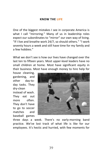### **KNOW THE LIFE**

<span id="page-38-0"></span>One of the biggest mistakes I see in corporate America is what I call "mirroring." Many of us in leadership roles expect our subordinates to "mirror" our own way of living. "If I live and breathe work 24/7, so should others." "I work seventy hours a week and still have time for my family and a few hobbies."

What we don't see is how our lives have changed over the last ten to fifteen years. Most upper-level leaders have no small children at home. Most have significant equity in their business. Most have enough money to hire help for

house cleaning, gardening, and other day-today tasks. They dry-clean instead of wash. They eat out more often. They don't have to go to soccer matches and baseball games



three days a week. There's no early-morning band practice. We've lost track of what life is like for our employees. It's hectic and hurried, with few moments for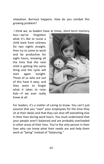relaxation. Burnout happens. How do you combat this growing problem?

I think we, as leaders have at times, short-term memory

loss—we've forgotten what it's like to nurse a child back from sickness for two nights straight, then try to come to work and be productive for eight hours, knowing all the time that the next child is getting the same thing and the cycle will start again tonight. Those of us who are out of this have it easy, and they seem to forget what it takes to raise kids—if we ever really knew at all.



For leaders, it's a matter of caring to know. You can't just assume that you "own" your employees for the time they sit at their desks and that they can shut off everything else in their lives during work hours. You must understand that your people aren't balanced and are probably overloaded in other areas of their lives. You're the only person in their lives who can know what their needs are and help them work at "being" instead of "balancing."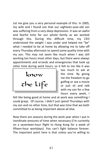Let me give you a very personal example of this. In 2005, my wife and I found out that our eighteen-year-old son was suffering from a very deep depression. It was an awful and fearful time for our whole family as we worked through this. During this difficult time, my CEO understood the weight I was under and helped me "be" what I needed to be at home by allowing me to take off every Thursday afternoon to spend some quality time with my son. This may not seem like much when I was still working ten hours most other days, but there were always appointments and errands and emergencies that took up other time during work hours, so it felt to me like it was

know the life

too much to ask at the time. By giving me the freedom to go golfing or see a movie or just sit and talk with my son for a few hours every week, I

felt like being good at home and at work was something I could grasp. Of course, I didn't just spend Thursdays with my son and no other time, but that was time that we both committed to as being important above all else.

Now there are seasons during the work year when I put in inordinate amounts of time when necessary (I'm currently on a seventeen-hour flight to Hong Kong for a week of fifteen-hour workdays). You can't fight balance forever. The important point here is that unless you're willing to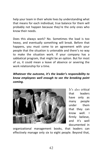help your team in their whole lives by understanding what that means for each individual, true balance for them will probably not happen because they're the only ones who know their needs.

Does this always work? No. Sometimes the load is too heavy, and eventually something will break. Before that happens, you must come to an agreement with your people that the situation is untenable and there's no way to make the situation work. If your company has a sabbatical program, that might be an option. But for most of us, it could mean a leave of absence or severing the work relationship for a time.

*Whatever the outcome, it's the leader's responsibility to know employees well enough to see the breaking point coming.*



It's also critical that leaders have only as many people under them that they can know well. I firmly believe, and it's well documented in

organizational management books, that leaders can effectively manage only six to eight people. Beyond that,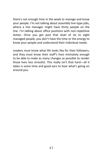there's not enough time in the week to manage and know your people. I'm not talking about assembly line-type jobs, where a line manager might have thirty people on the line. I'm talking about office positions with non-repetitive duties. Once you get past that level of six to eight managed people, you don't have the time or the energy to know your people and understand their individual needs.

Leaders must know what life looks like for their followers, and they must know their staff's lives intimately enough to be able to make as many changes as possible to render those lives less stressful. This really isn't that hard—all it takes is some time and good ears to hear what's going on around you.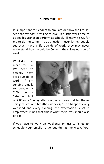# **SHOW THE LIFE**

<span id="page-43-0"></span>It is important for leaders to emulate or show the life. If I see that my boss is willing to give up a little work time to go see his grandson perform at school, I'll know it's OK for me to do the same. If I, as a leader, never let my people see that I have a life outside of work, they may never understand how I would be OK with their lives outside of work.

What does this mean for us? We need to actually have lives outside of work. If I'm sending emails to people at 7:00 on a Saturday night



or 2:00 on a Sunday afternoon, what does that tell them? This guy lives and breathes work 24/7. If it happens every weekend and every evening, the expectation is set in employees' minds that this is what their lives should also be like.

If you have to work on weekends or just can't let go, schedule your emails to go out during the week. Your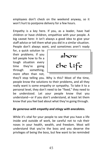employees don't check on the weekend anyway, so it won't hurt to postpone delivery for a few hours.

Empathy is a key here. If you, as a leader, have had children or have children, empathize with your people. A big caveat here: it isn't always a good idea to give your staff advice or tell them what you did in a similar situation. People don't always want, and sometimes aren't ready

for, a quick solution to their problems. If you tell people how to fix a tough situation every time they're going through something, more often than not,



they'll stop telling you. Why is this? Most of the time, people know the solutions to their problems, and all they really want is some empathy or sympathy. To take it to a personal level, they don't need to be "fixed," they need to be understood. Let your people know that you understand—or if you don't understand, at least let them know that you feel bad about what they're going through.

# *Be generous with empathy and stingy with anecdotes.*

While it's vital for your people to see that you have a life inside and outside of work, be careful not to rub their noses in your health, wealth, and freedom. Most will understand that you're the boss and you deserve the privileges of being the boss, but few want to be reminded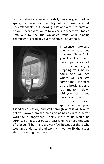of the status difference on a daily basis. A good parking space, a nice car, a big office—these are all understandable, but showing a PowerPoint presentation of your recent vacation to New Zealand where you took a limo out to see the wallabies frolic while sipping champagne is probably over the edge. Enough said.



In essence, make sure your staff sees you emulate "being" in your life. If you don't have it, perhaps a look into your own life, by mapping your hours, could help you see where you can get some time. If you're at the breaking point, it's time to sit down with your boss, if you have one (if not, sit down with your spouse or a good

friend or counselor), and walk through what it will take to get you away from the breaking point and into a better work/life arrangement. I think most of us would be surprised at how our bosses react when we need this type of change. I'll bet there are very few bosses out there who wouldn't understand and work with you to fix the issues that are causing the stress.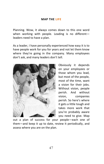# **MAP THE LIFE**

<span id="page-46-0"></span>Planning. Wow, it always comes down to this one word when working with people. Leading is no differentleaders need to have a plan.

As a leader, I have personally experienced how easy it is to have people work for you for years and not let them know where they're going in the company. Many employees don't ask, and many leaders don't tell.



Obviously it depends on your employees or those whom you lead, but most of the people, most of the time, want a vision for their jobs. Without vision, people perish. And without vision, companies perish. So here's where it gets a little tough and takes more work that you're probably aware you need to give. Map

out a plan of success for your people—each one of them—and keep it up to date, review it periodically, and assess where you are on the plan.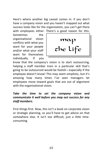Here's where another big caveat comes in: if you don't have a company vision and you haven't mapped out what success looks like for the organization, you can't get there with employees either. There's a good reason for this.

Sometimes the organizational vision conflicts with what you want for your people and/or what your staff want for themselves individually. If you



know that the company's vision is to start outsourcing, helping a staff member train in a particular skill that's going to be outsourced would be foolish—especially if the employee doesn't know! This may seem simplistic, but it's amazing how many times I've seen managers let employees move toward goals that are out of alignment with the organizational vision.

# *Take the time to set the company vision and communicate it well before you map out success for any staff members.*

First things first. Now, this isn't a book on corporate vision or strategic planning, so you'll have to get advice on that somewhere else. It isn't too difficult, just a little timeconsuming.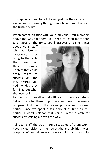To map out success for a follower, just use the same terms we've been discussing through this whole book—the way, the truth, the life.

When communicating with your individual staff members about the way for them, you need to listen more than talk. Most of the time, you'll discover amazing things

about your staff when you listen experience they bring to the table that wasn't on their résumés, hobbies that could easily relate to success on the job, desires you had no idea they felt. Find out what the way looks like



to them, and then align that with your corporate strategy. Set out steps for them to get there and times to measure progress. Add this to the review process we discussed earlier. Since we spent a fair amount of time on this earlier, I won't belabor that point. Create a path for success by starting out with the way.

Tell your staff the truth here also. Some of them won't have a clear vision of their strengths and abilities. Most people can't see themselves clearly without some help.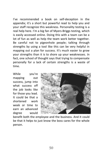I've recommended a book on self-deception in the appendix; it's a short but powerful read to help you and your staff recognize this weakness. Personality testing is a real help here. I'm a big fan of Myers-Briggs testing, which is easily accessed online. Doing this with a team can be a lot of fun as well as help the team work better together. Be careful not to pigeonhole people; talking through strengths by using a tool like this can be very helpful in mapping out a plan for success. It's much easier to grow your strengths than it is to shore up your weaknesses. In fact, one school of thought says that trying to compensate personally for a lack of certain strengths is a waste of time.

While you're mapping out success, jump into what success off the job looks like for those you lead. It could be that a shortened work week or time to earn an advanced degree would



benefit both the employee and the business. And it could be that it helps to just know the boss cares for the whole person.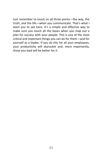Just remember to touch on all three points—the way, the truth, and the life—when you communicate. That's what I want you to see here. It's a simple and effective way to make sure you touch all the bases when you map out a plan for success with your people. This is one of the most critical and important things you can do for them—and for yourself as a leader. If you do this for all your employees, your productivity will skyrocket and, more importantly, those you lead will be better for it.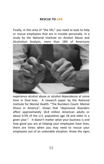# **RESCUE TO LIFE**

<span id="page-51-0"></span>Finally, in this area of "the life," you need to look to help or rescue employees that are in trouble personally. In a study by the National Institute on Alcohol Abuse and Alcoholism Analysis, more than 18% of Americans



experience alcohol abuse or alcohol dependence at some time in their lives. A research paper by the National Institute for Mental Health: "The Numbers Count: Mental Illness in America", shows that "depressive disorders affect approximately 18.8 million American adults or about 9.5% of the U.S. population age 18 and older in a given year." It doesn't matter what your business is and how good you are at helping your employees have lives, there are times when you may need to rescue your employees out of an untenable situation. Know the signs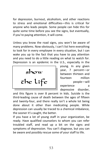for depression, burnout, alcoholism, and other reactions to stress and emotional difficulties—this is critical for anyone who leads people. Some people can hide this for quite some time before you see the signs, but eventually, if you're paying attention, it will come.

Unless you know the road signs, you won't be aware of many problems. Now obviously, I can't list here everything to look for in every employee in every situation, but I can wake you up to the fact that you have to pay attention and you need to do a little reading on what to watch for. Depression is an epidemic in the U.S., especially in the

show the life

young. In any given year, 7 percent—or between thirteen and fourteen million people—will experience a depressive disorder,

and this figure is over 8 percent in kids. Suicide is the third-leading cause of death between the ages of fifteen and twenty-four, and there really isn't a whole lot being done about it other than medicating people. While depression can usually be traced to a chemical imbalance, the sooner it's caught, the better.

If you have a lot of young staff in your organization, be ready. Have qualified counselors to whom you can refer troubled staff, and read up a bit on the signs and symptoms of depression. You can't diagnose, but you can be aware and possibly rescue some of your staff to life.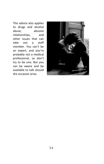This advice also applies to drugs and alcohol abuse, abusive relationships, and other issues that can take out a staff member. You can't be an expert, and you're probably not a medical professional, so don't try to be one. But you can be aware and be available to talk should the occasion arise.

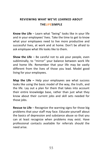# <span id="page-54-0"></span>**REVIEWING WHAT WE'VE LEARNED ABOUT THELIFESIMPLE**

**Know the Life** – Learn what "being" looks like in your life and in your employees' lives. Take the time to get to know what your employees need to live more productive and successful lives, at work and at home. Don't be afraid to ask employee what life looks like to them.

**Show the Life** – Be careful not to ask your people, even subliminally, to "mirror" your balance between work life and home life. Remember that your life may be vastly different from the lives of those you lead. Model good living for your employees.

**Map the Life –** Help your employees see what success looks like using the basic model of the way, the truth, and the life. Lay out a plan for them that takes into account their entire knowledge base, rather than just what they know about their current jobs and skill sets needed for those jobs.

**Rescue to Life** – Recognize the warning signs for those big problems that your staff may face. Educate yourself about the basics of depression and substance abuse so that you can at least recognize when problems may exist. Have professional contacts available for referrals should the need arise.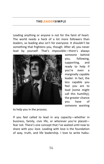#### **THELEADERSIMPLE**

<span id="page-55-0"></span>Leading anything or anyone is not for the faint of heart. The world needs a heck of a lot more followers than leaders, so leading also isn't for everyone. It shouldn't be something that frightens you, though. After all, you never lead by yourself. That's impossible—there's always



someone behind you, following, supporting, and ready to help if you're even a marginally capable leader. In fact, the less capable you feel you are to lead (some might call this humility), the greater chance you have of someone wanting

to help you in the process.

If you feel called to lead in any capacity—whether in business, family, civic life, or wherever you're placed fear not. There's one concept that I've waited until now to share with you: love. Leading with love is the foundation of way, truth, and life leadership. I love to write haiku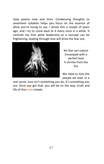style poetry now and then. Condensing thoughts to seventeen syllables helps you focus on the essence of what you're trying to say. I wrote this a couple of years ago, and I try to come back to it every once in a while. It reminds me that while leadership as a concept can be frightening, leading through love will drive the fear out.



No fear can subsist Encamped with a perfect love It shrinks from the fire

We need to love the people we lead. In a

real sense, love isn't something you do, it's something you are. Once you get that, you will be on the way, truth and life of theleadersimple.